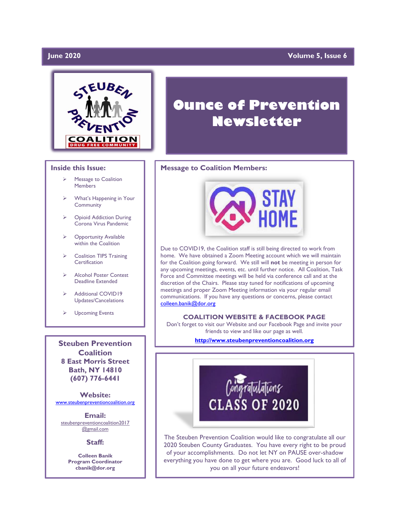### **Iune 2020**

### **Volume 5, Issue 6**



#### **Inside this Issue:**

- ➢ Message to Coalition Members
- What's Happening in Your **Community**
- ➢ Opioid Addiction During Corona Virus Pandemic
- **Opportunity Available** within the Coalition
- ➢ Coalition TIPS Training **Certification**
- ➢ Alcohol Poster Contest Deadline Extended
- Additional COVID19 Updates/Cancelations
- ➢ Upcoming Events

**Steuben Prevention Coalition 8 East Morris Street Bath, NY 14810 (607) 776-6441**

**Website:**  [www.steubenpreventioncoalition.org](http://www.steubenpreventioncoalition.org/)

**Email:**  steubenpreventioncoalition2017 @gmail.com

#### **Staff:**

**Colleen Banik Program Coordinator cbanik@dor.org**

# **Ounce of Prevention Newsletter**

#### **Message to Coalition Members:**



Due to COVID19, the Coalition staff is still being directed to work from home. We have obtained a Zoom Meeting account which we will maintain for the Coalition going forward. We still will **not** be meeting in person for any upcoming meetings, events, etc. until further notice. All Coalition, Task Force and Committee meetings will be held via conference call and at the discretion of the Chairs. Please stay tuned for notifications of upcoming meetings and proper Zoom Meeting information via your regular email communications. If you have any questions or concerns, please contact [colleen.banik@dor.org](mailto:colleen.banik@dor.org)

#### **COALITION WEBSITE & FACEBOOK PAGE**

Don't forget to visit our Website and our Facebook Page and invite your friends to view and like our page as well.

**[http://www.steubenpreventioncoalition.org](http://www.steubenpreventioncoalition.org/)**



The Steuben Prevention Coalition would like to congratulate all our 2020 Steuben County Graduates. You have every right to be proud of your accomplishments. Do not let NY on PAUSE over-shadow everything you have done to get where you are. Good luck to all of you on all your future endeavors!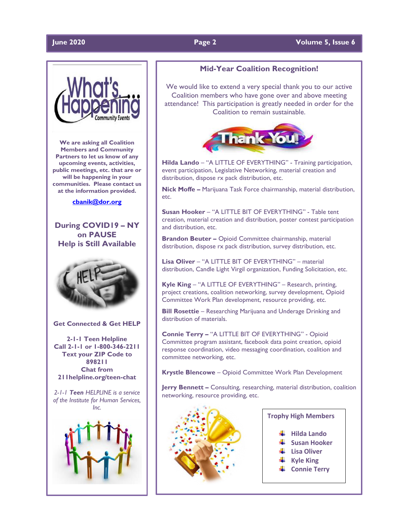#### **June 2020 Page 2 Volume 5, Issue 6**



**We are asking all Coalition Members and Community Partners to let us know of any upcoming events, activities, public meetings, etc. that are or will be happening in your communities. Please contact us at the information provided.**

#### **[cbanik@dor.org](mailto:cbanik@dor.org)**

**During COVID19 – NY on PAUSE Help is Still Available**



**Get Connected & Get HELP**

**2-1-1 Teen Helpline Call 2-1-1 or 1-800-346-2211 Text your ZIP Code to 898211 Chat from 211helpline.org/teen-chat**

*2-1-1 Teen HELPLINE is a service of the Institute for Human Services, Inc.*



#### **Mid-Year Coalition Recognition!**

We would like to extend a very special thank you to our active Coalition members who have gone over and above meeting attendance! This participation is greatly needed in order for the Coalition to remain sustainable.



**Hilda Lando** – "A LITTLE OF EVERYTHING" - Training participation, event participation, Legislative Networking, material creation and distribution, dispose rx pack distribution, etc.

**Nick Moffe –** Marijuana Task Force chairmanship, material distribution, etc.

**Susan Hooker** – "A LITTLE BIT OF EVERYTHING" - Table tent creation, material creation and distribution, poster contest participation and distribution, etc.

**Brandon Beuter –** Opioid Committee chairmanship, material distribution, dispose rx pack distribution, survey distribution, etc.

**Lisa Oliver** – "A LITTLE BIT OF EVERYTHING" – material distribution, Candle Light Virgil organization, Funding Solicitation, etc.

**Kyle King** – "A LITTLE OF EVERYTHING" – Research, printing, project creations, coalition networking, survey development, Opioid Committee Work Plan development, resource providing, etc.

**Bill Rosettie** – Researching Marijuana and Underage Drinking and distribution of materials.

**Connie Terry –** "A LITTLE BIT OF EVERYTHING" - Opioid Committee program assistant, facebook data point creation, opioid response coordination, video messaging coordination, coalition and committee networking, etc.

**Krystle Blencowe** – Opioid Committee Work Plan Development

**Jerry Bennett -** Consulting, researching, material distribution, coalition networking, resource providing, etc.



### **Trophy High Members**

- **Hilda Lando**
- **Susan Hooker**
- **Lisa Oliver**
- **Kyle King**
- **← Connie Terry**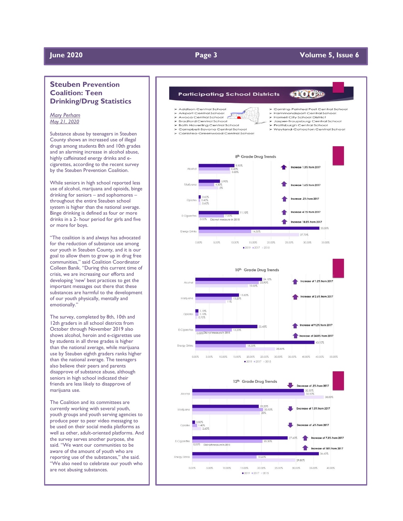#### **June 2020 Page 3 Volume**

#### **5, Issue 6**

### **Steuben Prevention Coalition: Teen Drinking/Drug Statistics**

*Mary Perham May 21, 2020*

Substance abuse by teenagers in Steuben County shows an increased use of illegal drugs among students 8th and 10th grades and an alarming increase in alcohol abuse, highly caffeinated energy drinks and ecigarettes, according to the recent survey by the Steuben Prevention Coalition.

While seniors in high school reported less use of alcohol, marijuana and opioids, binge drinking for seniors – and sophomores – throughout the entire Steuben school system is higher than the national average. Binge drinking is defined as four or more drinks in a 2 - hour period for girls and five or more for boys.

"The coalition is and always has advocated for the reduction of substance use among our youth in Steuben County, and it is our goal to allow them to grow up in drug free communities," said Coalition Coordinator Colleen Banik. "During this current time of crisis, we are increasing our efforts and developing 'new' best practices to get the important messages out there that these substances are harmful to the development of our youth physically, mentally and emotionally."

The survey, completed by 8th, 10th and 12th graders in all school districts from October through November 2019 also shows alcohol, heroin and e -cigarettes use by students in all three grades is higher than the national average, while marijuana use by Steuben eighth graders ranks higher than the national average. The teenagers also believe their peers and parents disapprove of substance abuse, although seniors in high school indicated their friends are less likely to disapprove of marijuana use.

The Coalition and its committees are currently working with several youth, youth groups and youth serving agencies to produce peer to peer video messaging to be used on their social media platforms as well as other, adult -oriented platforms. And the survey serves another purpose, she said. "We want our communities to be aware of the amount of youth who are reporting use of the substances," she said. "We also need to celebrate our youth who are not abusing substances.